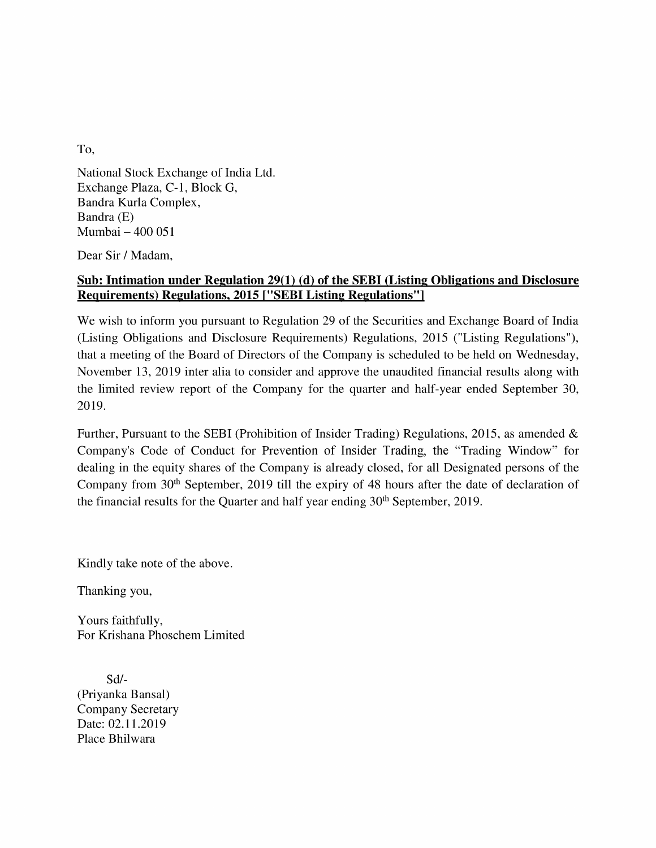To,

National Stock Exchange of India Ltd. Exchange Plaza, C-1, Block G, Bandra Kurla Complex, Bandra (E) Mumbai — 400 051

Dear Sir / Madam,

## Sub: Intimation under Regulation 29(1) (d) of the SEBI (Listing Obligations and Disclosure Requirements) Regulations, 2015 [""SEBI Listing Regulations'']

We wish to inform you pursuant to Regulation 29 of the Securities and Exchange Board of India (Listing Obligations and Disclosure Requirements) Regulations, 2015 ("Listing Regulations"), that <sup>a</sup> meeting of the Board of Directors of the Companyis scheduled to be held on Wednesday, November 13, 2019 inter alia to consider and approve the unaudited financial results along with the limited review report of the Company for the quarter and half-year ended September 30, 2019.

Further, Pursuant to the SEBI (Prohibition of Insider Trading) Regulations, 2015, as amended & Company's Code of Conduct for Prevention of Insider Trading, the "Trading Window" for dealing in the equity shares of the Company is already closed, for all Designated persons of the Company from 30" September, 2019 till the expiry of 48 hours after the date of declaration of the financial results for the Quarter and half year ending 30<sup>th</sup> September, 2019.

Kindly take note of the above.

Thanking you,

Yours faithfully, For Krishana Phoschem Limited

Sd/- (Priyanka Bansal) Company Secretary Date: 02.11.2019 Place Bhilwara